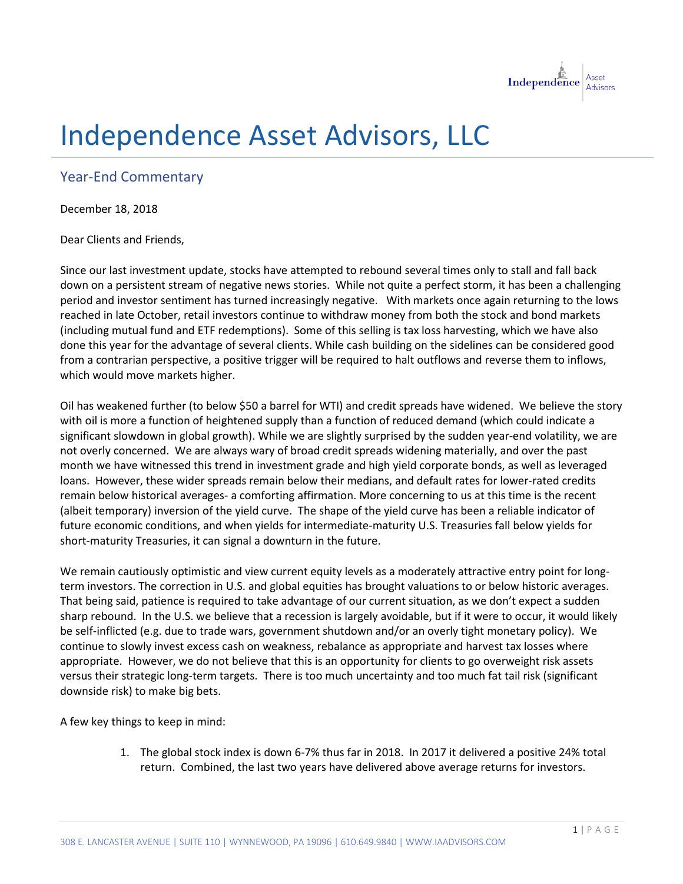

## Independence Asset Advisors, LLC

## Year-End Commentary

December 18, 2018

Dear Clients and Friends,

Since our last investment update, stocks have attempted to rebound several times only to stall and fall back down on a persistent stream of negative news stories. While not quite a perfect storm, it has been a challenging period and investor sentiment has turned increasingly negative. With markets once again returning to the lows reached in late October, retail investors continue to withdraw money from both the stock and bond markets (including mutual fund and ETF redemptions). Some of this selling is tax loss harvesting, which we have also done this year for the advantage of several clients. While cash building on the sidelines can be considered good from a contrarian perspective, a positive trigger will be required to halt outflows and reverse them to inflows, which would move markets higher.

Oil has weakened further (to below \$50 a barrel for WTI) and credit spreads have widened. We believe the story with oil is more a function of heightened supply than a function of reduced demand (which could indicate a significant slowdown in global growth). While we are slightly surprised by the sudden year-end volatility, we are not overly concerned. We are always wary of broad credit spreads widening materially, and over the past month we have witnessed this trend in investment grade and high yield corporate bonds, as well as leveraged loans. However, these wider spreads remain below their medians, and default rates for lower-rated credits remain below historical averages- a comforting affirmation. More concerning to us at this time is the recent (albeit temporary) inversion of the yield curve. The shape of the yield curve has been a reliable indicator of future economic conditions, and when yields for intermediate-maturity U.S. Treasuries fall below yields for short-maturity Treasuries, it can signal a downturn in the future.

We remain cautiously optimistic and view current equity levels as a moderately attractive entry point for longterm investors. The correction in U.S. and global equities has brought valuations to or below historic averages. That being said, patience is required to take advantage of our current situation, as we don't expect a sudden sharp rebound. In the U.S. we believe that a recession is largely avoidable, but if it were to occur, it would likely be self-inflicted (e.g. due to trade wars, government shutdown and/or an overly tight monetary policy). We continue to slowly invest excess cash on weakness, rebalance as appropriate and harvest tax losses where appropriate. However, we do not believe that this is an opportunity for clients to go overweight risk assets versus their strategic long-term targets. There is too much uncertainty and too much fat tail risk (significant downside risk) to make big bets.

A few key things to keep in mind:

1. The global stock index is down 6-7% thus far in 2018. In 2017 it delivered a positive 24% total return. Combined, the last two years have delivered above average returns for investors.